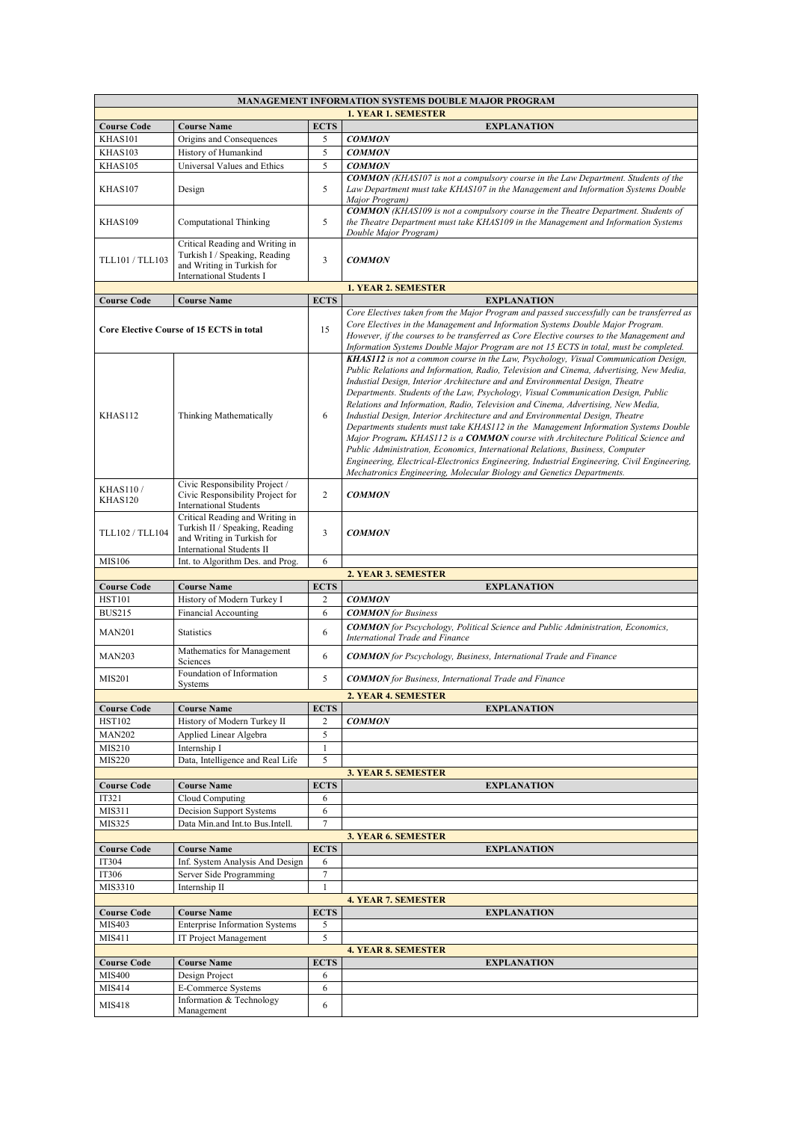| MANAGEMENT INFORMATION SYSTEMS DOUBLE MAJOR PROGRAM                                  |                                                                                                                                     |                          |                                                                                                                                                                                                                                                                                                                                                                                                                                                                                                                                                                                                                                                                                                                                                                                                                                                                                                                                                                       |  |
|--------------------------------------------------------------------------------------|-------------------------------------------------------------------------------------------------------------------------------------|--------------------------|-----------------------------------------------------------------------------------------------------------------------------------------------------------------------------------------------------------------------------------------------------------------------------------------------------------------------------------------------------------------------------------------------------------------------------------------------------------------------------------------------------------------------------------------------------------------------------------------------------------------------------------------------------------------------------------------------------------------------------------------------------------------------------------------------------------------------------------------------------------------------------------------------------------------------------------------------------------------------|--|
|                                                                                      |                                                                                                                                     |                          | <b>1. YEAR 1. SEMESTER</b>                                                                                                                                                                                                                                                                                                                                                                                                                                                                                                                                                                                                                                                                                                                                                                                                                                                                                                                                            |  |
| <b>Course Code</b>                                                                   | <b>Course Name</b>                                                                                                                  | <b>ECTS</b>              | <b>EXPLANATION</b>                                                                                                                                                                                                                                                                                                                                                                                                                                                                                                                                                                                                                                                                                                                                                                                                                                                                                                                                                    |  |
| KHAS101<br>KHAS103                                                                   | Origins and Consequences<br>History of Humankind                                                                                    | 5<br>5                   | <b>COMMON</b><br><b>COMMON</b>                                                                                                                                                                                                                                                                                                                                                                                                                                                                                                                                                                                                                                                                                                                                                                                                                                                                                                                                        |  |
| KHAS105                                                                              | Universal Values and Ethics                                                                                                         | 5                        | <b>COMMON</b>                                                                                                                                                                                                                                                                                                                                                                                                                                                                                                                                                                                                                                                                                                                                                                                                                                                                                                                                                         |  |
| KHAS107                                                                              | Design                                                                                                                              | 5                        | <b>COMMON</b> (KHAS107 is not a compulsory course in the Law Department. Students of the<br>Law Department must take KHAS107 in the Management and Information Systems Double<br>Major Program)                                                                                                                                                                                                                                                                                                                                                                                                                                                                                                                                                                                                                                                                                                                                                                       |  |
| KHAS109                                                                              | <b>Computational Thinking</b>                                                                                                       | 5                        | <b>COMMON</b> (KHAS109 is not a compulsory course in the Theatre Department. Students of<br>the Theatre Department must take KHAS109 in the Management and Information Systems<br>Double Major Program)                                                                                                                                                                                                                                                                                                                                                                                                                                                                                                                                                                                                                                                                                                                                                               |  |
| <b>TLL101 / TLL103</b>                                                               | Critical Reading and Writing in<br>Turkish I / Speaking, Reading<br>and Writing in Turkish for<br><b>International Students I</b>   | 3                        | <b>COMMON</b>                                                                                                                                                                                                                                                                                                                                                                                                                                                                                                                                                                                                                                                                                                                                                                                                                                                                                                                                                         |  |
|                                                                                      |                                                                                                                                     |                          | <b>1. YEAR 2. SEMESTER</b>                                                                                                                                                                                                                                                                                                                                                                                                                                                                                                                                                                                                                                                                                                                                                                                                                                                                                                                                            |  |
| <b>Course Code</b><br><b>Course Name</b><br>Core Elective Course of 15 ECTS in total |                                                                                                                                     | <b>ECTS</b>              | <b>EXPLANATION</b><br>Core Electives taken from the Major Program and passed successfully can be transferred as                                                                                                                                                                                                                                                                                                                                                                                                                                                                                                                                                                                                                                                                                                                                                                                                                                                       |  |
|                                                                                      |                                                                                                                                     | 15                       | Core Electives in the Management and Information Systems Double Major Program.<br>However, if the courses to be transferred as Core Elective courses to the Management and<br>Information Systems Double Major Program are not 15 ECTS in total, must be completed.                                                                                                                                                                                                                                                                                                                                                                                                                                                                                                                                                                                                                                                                                                   |  |
| <b>KHAS112</b>                                                                       | Thinking Mathematically                                                                                                             | 6                        | <b>KHAS112</b> is not a common course in the Law, Psychology, Visual Communication Design,<br>Public Relations and Information, Radio, Television and Cinema, Advertising, New Media,<br>Industial Design, Interior Architecture and and Environmental Design, Theatre<br>Departments. Students of the Law, Psychology, Visual Communication Design, Public<br>Relations and Information, Radio, Television and Cinema, Advertising, New Media,<br>Industial Design, Interior Architecture and and Environmental Design, Theatre<br>Departments students must take KHAS112 in the Management Information Systems Double<br>Major Program. KHAS112 is a COMMON course with Architecture Political Science and<br>Public Administration, Economics, International Relations, Business, Computer<br>Engineering, Electrical-Electronics Engineering, Industrial Engineering, Civil Engineering,<br>Mechatronics Engineering, Molecular Biology and Genetics Departments. |  |
| <b>KHAS110/</b><br>KHAS120                                                           | Civic Responsibility Project /<br>Civic Responsibility Project for<br><b>International Students</b>                                 | $\overline{c}$           | <b>COMMON</b>                                                                                                                                                                                                                                                                                                                                                                                                                                                                                                                                                                                                                                                                                                                                                                                                                                                                                                                                                         |  |
| TLL102 / TLL104                                                                      | Critical Reading and Writing in<br>Turkish II / Speaking, Reading<br>and Writing in Turkish for<br><b>International Students II</b> | 3                        | <b>COMMON</b>                                                                                                                                                                                                                                                                                                                                                                                                                                                                                                                                                                                                                                                                                                                                                                                                                                                                                                                                                         |  |
| <b>MIS106</b>                                                                        | Int. to Algorithm Des. and Prog.                                                                                                    | 6                        |                                                                                                                                                                                                                                                                                                                                                                                                                                                                                                                                                                                                                                                                                                                                                                                                                                                                                                                                                                       |  |
|                                                                                      |                                                                                                                                     |                          |                                                                                                                                                                                                                                                                                                                                                                                                                                                                                                                                                                                                                                                                                                                                                                                                                                                                                                                                                                       |  |
|                                                                                      |                                                                                                                                     |                          | 2. YEAR 3. SEMESTER                                                                                                                                                                                                                                                                                                                                                                                                                                                                                                                                                                                                                                                                                                                                                                                                                                                                                                                                                   |  |
| <b>Course Code</b>                                                                   | <b>Course Name</b>                                                                                                                  | <b>ECTS</b>              | <b>EXPLANATION</b>                                                                                                                                                                                                                                                                                                                                                                                                                                                                                                                                                                                                                                                                                                                                                                                                                                                                                                                                                    |  |
| <b>HST101</b><br><b>BUS215</b>                                                       | History of Modern Turkey I<br>Financial Accounting                                                                                  | $\overline{c}$<br>6      | <b>COMMON</b><br><b>COMMON</b> for Business                                                                                                                                                                                                                                                                                                                                                                                                                                                                                                                                                                                                                                                                                                                                                                                                                                                                                                                           |  |
| <b>MAN201</b>                                                                        | <b>Statistics</b>                                                                                                                   | 6                        | <b>COMMON</b> for Pscychology, Political Science and Public Administration, Economics,<br>International Trade and Finance                                                                                                                                                                                                                                                                                                                                                                                                                                                                                                                                                                                                                                                                                                                                                                                                                                             |  |
| <b>MAN203</b>                                                                        | Mathematics for Management<br>Sciences                                                                                              | 6                        | <b>COMMON</b> for Pscychology, Business, International Trade and Finance                                                                                                                                                                                                                                                                                                                                                                                                                                                                                                                                                                                                                                                                                                                                                                                                                                                                                              |  |
| <b>MIS201</b>                                                                        | Foundation of Information                                                                                                           | 5                        | <b>COMMON</b> for Business, International Trade and Finance                                                                                                                                                                                                                                                                                                                                                                                                                                                                                                                                                                                                                                                                                                                                                                                                                                                                                                           |  |
|                                                                                      | Systems                                                                                                                             |                          | 2. YEAR 4. SEMESTER                                                                                                                                                                                                                                                                                                                                                                                                                                                                                                                                                                                                                                                                                                                                                                                                                                                                                                                                                   |  |
| <b>Course Code</b>                                                                   | <b>Course Name</b>                                                                                                                  | <b>ECTS</b>              | <b>EXPLANATION</b>                                                                                                                                                                                                                                                                                                                                                                                                                                                                                                                                                                                                                                                                                                                                                                                                                                                                                                                                                    |  |
| <b>HST102</b>                                                                        | History of Modern Turkey II                                                                                                         | 2                        | <b>COMMON</b>                                                                                                                                                                                                                                                                                                                                                                                                                                                                                                                                                                                                                                                                                                                                                                                                                                                                                                                                                         |  |
| <b>MAN202</b>                                                                        | Applied Linear Algebra                                                                                                              | 5                        |                                                                                                                                                                                                                                                                                                                                                                                                                                                                                                                                                                                                                                                                                                                                                                                                                                                                                                                                                                       |  |
| MIS210                                                                               | Internship I                                                                                                                        | $\mathbf{1}$             |                                                                                                                                                                                                                                                                                                                                                                                                                                                                                                                                                                                                                                                                                                                                                                                                                                                                                                                                                                       |  |
| <b>MIS220</b>                                                                        | Data, Intelligence and Real Life                                                                                                    | 5                        |                                                                                                                                                                                                                                                                                                                                                                                                                                                                                                                                                                                                                                                                                                                                                                                                                                                                                                                                                                       |  |
| <b>Course Code</b>                                                                   | <b>Course Name</b>                                                                                                                  | <b>ECTS</b>              | 3. YEAR 5. SEMESTER<br><b>EXPLANATION</b>                                                                                                                                                                                                                                                                                                                                                                                                                                                                                                                                                                                                                                                                                                                                                                                                                                                                                                                             |  |
| IT321                                                                                | Cloud Computing                                                                                                                     | 6                        |                                                                                                                                                                                                                                                                                                                                                                                                                                                                                                                                                                                                                                                                                                                                                                                                                                                                                                                                                                       |  |
| MIS311                                                                               | Decision Support Systems                                                                                                            | 6                        |                                                                                                                                                                                                                                                                                                                                                                                                                                                                                                                                                                                                                                                                                                                                                                                                                                                                                                                                                                       |  |
| MIS325                                                                               | Data Min.and Int.to Bus.Intell.                                                                                                     | $\overline{\mathcal{I}}$ |                                                                                                                                                                                                                                                                                                                                                                                                                                                                                                                                                                                                                                                                                                                                                                                                                                                                                                                                                                       |  |
|                                                                                      |                                                                                                                                     |                          | 3. YEAR 6. SEMESTER                                                                                                                                                                                                                                                                                                                                                                                                                                                                                                                                                                                                                                                                                                                                                                                                                                                                                                                                                   |  |
| <b>Course Code</b>                                                                   | <b>Course Name</b>                                                                                                                  | <b>ECTS</b>              | <b>EXPLANATION</b>                                                                                                                                                                                                                                                                                                                                                                                                                                                                                                                                                                                                                                                                                                                                                                                                                                                                                                                                                    |  |
| IT304                                                                                | Inf. System Analysis And Design                                                                                                     | 6                        |                                                                                                                                                                                                                                                                                                                                                                                                                                                                                                                                                                                                                                                                                                                                                                                                                                                                                                                                                                       |  |
| IT306                                                                                | Server Side Programming                                                                                                             | $\tau$                   |                                                                                                                                                                                                                                                                                                                                                                                                                                                                                                                                                                                                                                                                                                                                                                                                                                                                                                                                                                       |  |
| MIS3310                                                                              | Internship II                                                                                                                       | $\mathbf{1}$             |                                                                                                                                                                                                                                                                                                                                                                                                                                                                                                                                                                                                                                                                                                                                                                                                                                                                                                                                                                       |  |
|                                                                                      |                                                                                                                                     |                          | <b>4. YEAR 7. SEMESTER</b>                                                                                                                                                                                                                                                                                                                                                                                                                                                                                                                                                                                                                                                                                                                                                                                                                                                                                                                                            |  |
| <b>Course Code</b>                                                                   | <b>Course Name</b>                                                                                                                  | <b>ECTS</b>              | <b>EXPLANATION</b>                                                                                                                                                                                                                                                                                                                                                                                                                                                                                                                                                                                                                                                                                                                                                                                                                                                                                                                                                    |  |
| MIS403<br>MIS411                                                                     | <b>Enterprise Information Systems</b><br><b>IT Project Management</b>                                                               | 5<br>5                   |                                                                                                                                                                                                                                                                                                                                                                                                                                                                                                                                                                                                                                                                                                                                                                                                                                                                                                                                                                       |  |
|                                                                                      |                                                                                                                                     |                          | <b>4. YEAR 8. SEMESTER</b>                                                                                                                                                                                                                                                                                                                                                                                                                                                                                                                                                                                                                                                                                                                                                                                                                                                                                                                                            |  |
| <b>Course Code</b>                                                                   | <b>Course Name</b>                                                                                                                  | <b>ECTS</b>              | <b>EXPLANATION</b>                                                                                                                                                                                                                                                                                                                                                                                                                                                                                                                                                                                                                                                                                                                                                                                                                                                                                                                                                    |  |
| <b>MIS400</b>                                                                        | Design Project                                                                                                                      | 6                        |                                                                                                                                                                                                                                                                                                                                                                                                                                                                                                                                                                                                                                                                                                                                                                                                                                                                                                                                                                       |  |
| MIS414                                                                               | <b>E-Commerce Systems</b><br>Information & Technology                                                                               | 6                        |                                                                                                                                                                                                                                                                                                                                                                                                                                                                                                                                                                                                                                                                                                                                                                                                                                                                                                                                                                       |  |